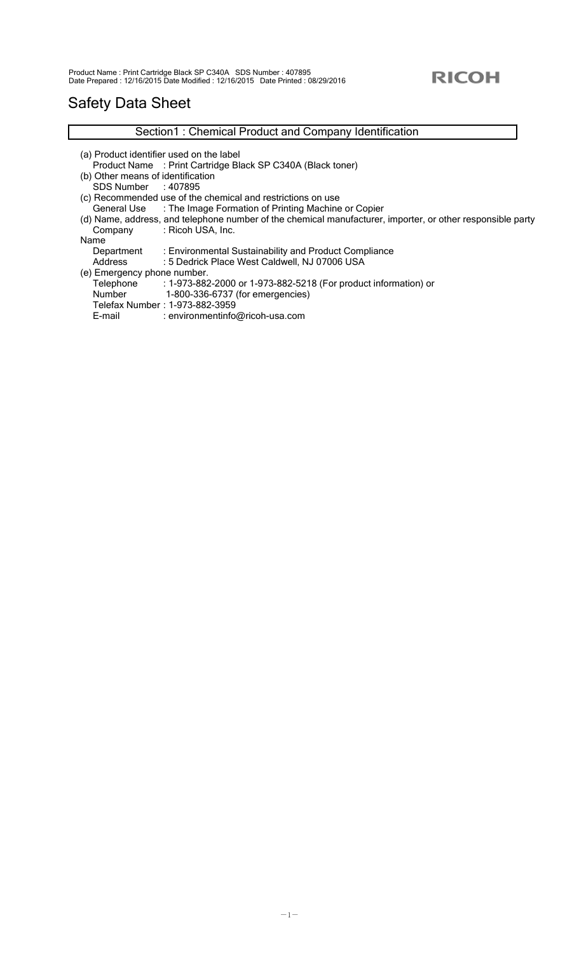# Safety Data Sheet

|                                   | Section1: Chemical Product and Company Identification                                                      |
|-----------------------------------|------------------------------------------------------------------------------------------------------------|
|                                   | (a) Product identifier used on the label                                                                   |
|                                   | Product Name: Print Cartridge Black SP C340A (Black toner)                                                 |
| (b) Other means of identification |                                                                                                            |
| SDS Number : 407895               |                                                                                                            |
|                                   | (c) Recommended use of the chemical and restrictions on use                                                |
|                                   | General Use : The Image Formation of Printing Machine or Copier                                            |
|                                   | (d) Name, address, and telephone number of the chemical manufacturer, importer, or other responsible party |
| Company                           | : Ricoh USA, Inc.                                                                                          |
| Name                              |                                                                                                            |
| Department                        | : Environmental Sustainability and Product Compliance                                                      |
| Address                           | : 5 Dedrick Place West Caldwell, NJ 07006 USA                                                              |
| (e) Emergency phone number.       |                                                                                                            |
| Telephone                         | : 1-973-882-2000 or 1-973-882-5218 (For product information) or                                            |
| Number                            | 1-800-336-6737 (for emergencies)                                                                           |
|                                   | Telefax Number: 1-973-882-3959                                                                             |
| E-mail                            | : environmentinfo@ricoh-usa.com                                                                            |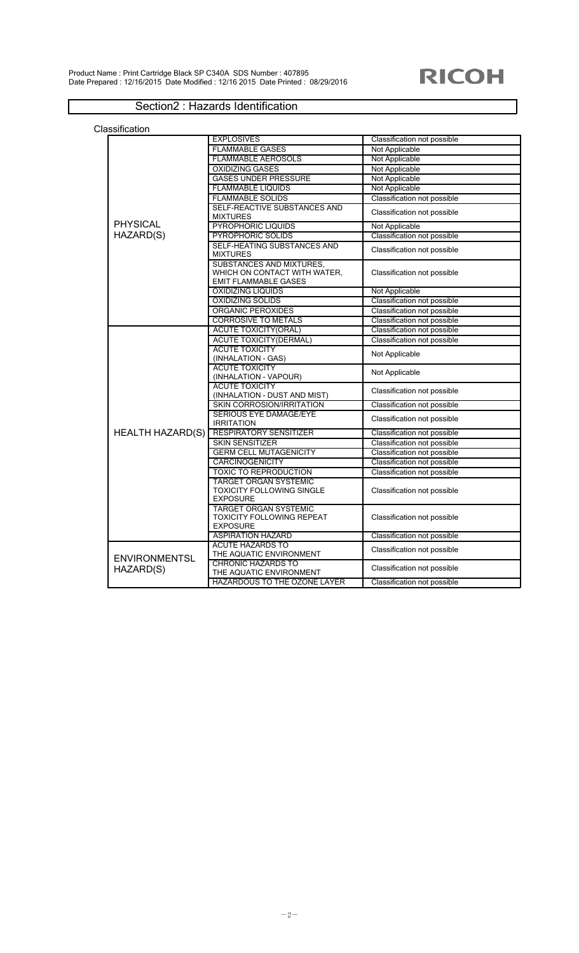### Section2 : Hazards Identification

|                         | <b>EXPLOSIVES</b>                | Classification not possible        |
|-------------------------|----------------------------------|------------------------------------|
|                         | <b>FLAMMABLE GASES</b>           | Not Applicable                     |
|                         | <b>FLAMMABLE AEROSOLS</b>        | Not Applicable                     |
|                         | <b>OXIDIZING GASES</b>           | Not Applicable                     |
|                         | <b>GASES UNDER PRESSURE</b>      | Not Applicable                     |
|                         | <b>FLAMMABLE LIQUIDS</b>         | Not Applicable                     |
|                         | <b>FLAMMABLE SOLIDS</b>          | <b>Classification not possible</b> |
|                         | SELF-REACTIVE SUBSTANCES AND     |                                    |
|                         | <b>MIXTURES</b>                  | Classification not possible        |
| <b>PHYSICAL</b>         | PYROPHORIC LIQUIDS               | Not Applicable                     |
| HAZARD(S)               | PYROPHORIC SOLIDS                | <b>Classification not possible</b> |
|                         | SELF-HEATING SUBSTANCES AND      |                                    |
|                         | <b>MIXTURES</b>                  | Classification not possible        |
|                         | SUBSTANCES AND MIXTURES,         |                                    |
|                         | WHICH ON CONTACT WITH WATER,     | Classification not possible        |
|                         | <b>EMIT FLAMMABLE GASES</b>      |                                    |
|                         | <b>OXIDIZING LIQUIDS</b>         | Not Applicable                     |
|                         | <b>OXIDIZING SOLIDS</b>          | <b>Classification not possible</b> |
|                         | <b>ORGANIC PEROXIDES</b>         | Classification not possible        |
|                         | <b>CORROSIVE TO METALS</b>       | Classification not possible        |
|                         | <b>ACUTE TOXICITY(ORAL)</b>      | Classification not possible        |
|                         | <b>ACUTE TOXICITY(DERMAL)</b>    | Classification not possible        |
|                         | <b>ACUTE TOXICITY</b>            |                                    |
|                         | (INHALATION - GAS)               | Not Applicable                     |
|                         | <b>ACUTE TOXICITY</b>            |                                    |
|                         | (INHALATION - VAPOUR)            | Not Applicable                     |
|                         | <b>ACUTE TOXICITY</b>            | Classification not possible        |
|                         | (INHALATION - DUST AND MIST)     |                                    |
|                         | <b>SKIN CORROSION/IRRITATION</b> | Classification not possible        |
|                         | SERIOUS EYE DAMAGE/EYE           | Classification not possible        |
|                         | <b>IRRITATION</b>                |                                    |
| <b>HEALTH HAZARD(S)</b> | <b>RESPIRATORY SENSITIZER</b>    | Classification not possible        |
|                         | <b>SKIN SENSITIZER</b>           | Classification not possible        |
|                         | <b>GERM CELL MUTAGENICITY</b>    | Classification not possible        |
|                         | <b>CARCINOGENICITY</b>           | Classification not possible        |
|                         | TOXIC TO REPRODUCTION            | Classification not possible        |
|                         | <b>TARGET ORGAN SYSTEMIC</b>     |                                    |
|                         | <b>TOXICITY FOLLOWING SINGLE</b> | Classification not possible        |
|                         | <b>EXPOSURE</b>                  |                                    |
|                         | <b>TARGET ORGAN SYSTEMIC</b>     |                                    |
|                         | <b>TOXICITY FOLLOWING REPEAT</b> | Classification not possible        |
|                         | <b>EXPOSURE</b>                  |                                    |
|                         | <b>ASPIRATION HAZARD</b>         | Classification not possible        |
|                         | <b>ACUTE HAZARDS TO</b>          | Classification not possible        |
| <b>ENVIRONMENTSL</b>    | THE AQUATIC ENVIRONMENT          |                                    |
| HAZARD(S)               | <b>CHRONIC HAZARDS TO</b>        | Classification not possible        |
|                         | THE AQUATIC ENVIRONMENT          |                                    |
|                         | HAZARDOUS TO THE OZONE LAYER     | Classification not possible        |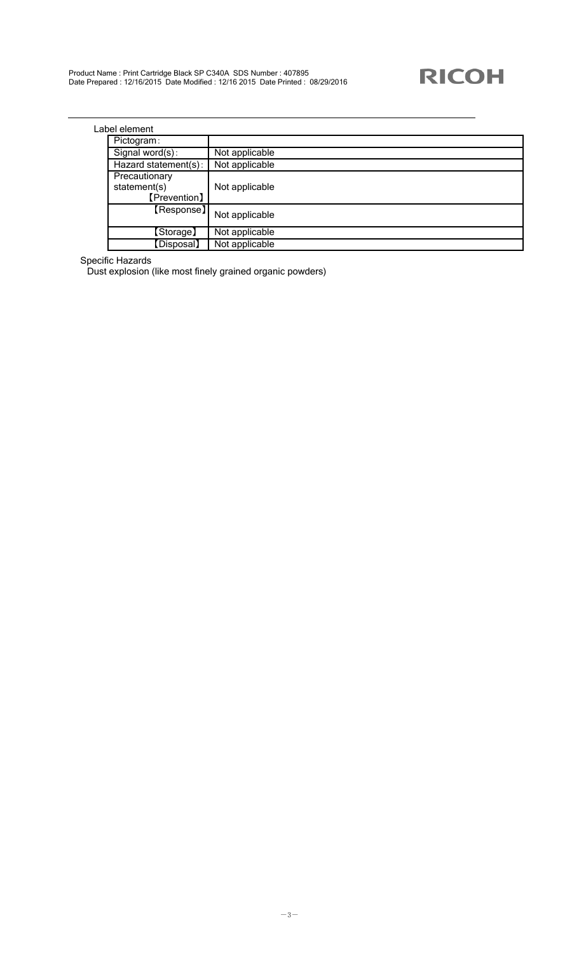| Label element |
|---------------|
|               |

| bel element                                   |                |
|-----------------------------------------------|----------------|
| Pictogram:                                    |                |
| Signal word(s):                               | Not applicable |
| Hazard statement(s):                          | Not applicable |
| Precautionary<br>statement(s)<br>[Prevention] | Not applicable |
| [Response]                                    | Not applicable |
| [Storage]                                     | Not applicable |
| [Disposal]                                    | Not applicable |

#### Specific Hazards

Dust explosion (like most finely grained organic powders)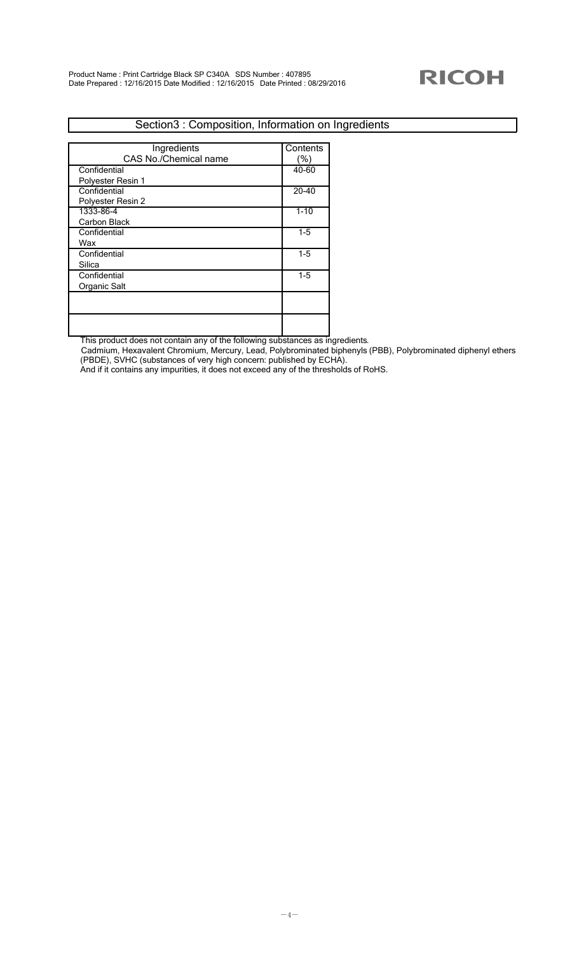### Section3 : Composition, Information on Ingredients

| Ingredients           | Contents  |
|-----------------------|-----------|
| CAS No./Chemical name | '%)       |
| Confidential          | 40-60     |
| Polyester Resin 1     |           |
| Confidential          | $20 - 40$ |
| Polyester Resin 2     |           |
| 1333-86-4             | $1 - 10$  |
| Carbon Black          |           |
| Confidential          | $1-5$     |
| Wax                   |           |
| Confidential          | $1-5$     |
| Silica                |           |
| Confidential          | $1-5$     |
| Organic Salt          |           |
|                       |           |
|                       |           |
|                       |           |
|                       |           |

This product does not contain any of the following substances as ingredients.

Cadmium, Hexavalent Chromium, Mercury, Lead, Polybrominated biphenyls (PBB), Polybrominated diphenyl ethers (PBDE), SVHC (substances of very high concern: published by ECHA).

And if it contains any impurities, it does not exceed any of the thresholds of RoHS.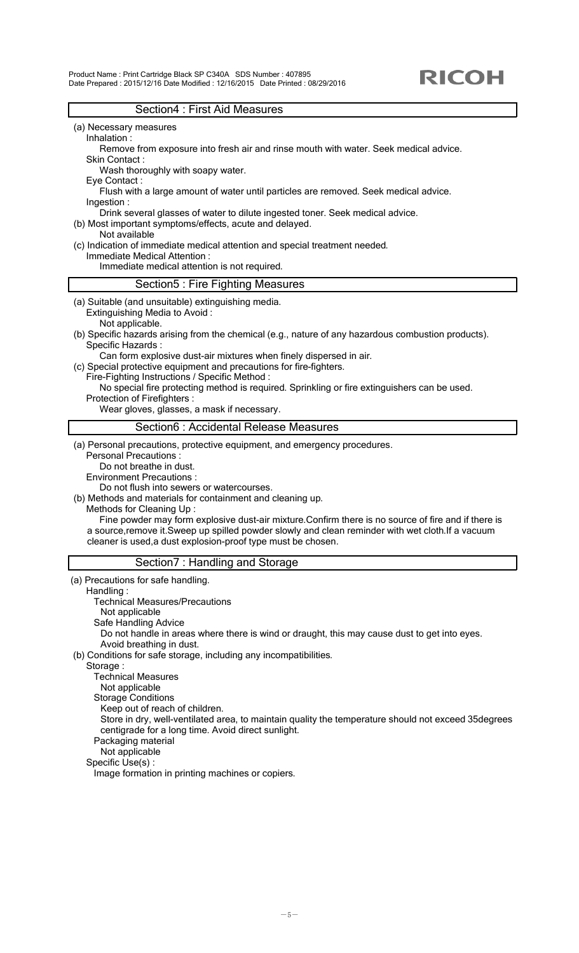Product Name : Print Cartridge Black SP C340A SDS Number : 407895 Date Prepared : 2015/12/16 Date Modified : 12/16/2015 Date Printed : 08/29/2016

#### Section4 : First Aid Measures

- (a) Necessary measures
	- Inhalation :

 Remove from exposure into fresh air and rinse mouth with water. Seek medical advice. Skin Contact :

Wash thoroughly with soapy water.

Eye Contact :

 Flush with a large amount of water until particles are removed. Seek medical advice. Ingestion :

Drink several glasses of water to dilute ingested toner. Seek medical advice.

- (b) Most important symptoms/effects, acute and delayed.
- Not available
- (c) Indication of immediate medical attention and special treatment needed.

 Immediate Medical Attention : Immediate medical attention is not required.

### Section5 : Fire Fighting Measures

- (a) Suitable (and unsuitable) extinguishing media. Extinguishing Media to Avoid :
	- Not applicable.
- (b) Specific hazards arising from the chemical (e.g., nature of any hazardous combustion products). Specific Hazards :
	- Can form explosive dust-air mixtures when finely dispersed in air.
- (c) Special protective equipment and precautions for fire-fighters.
	- Fire-Fighting Instructions / Specific Method :
	- No special fire protecting method is required. Sprinkling or fire extinguishers can be used. Protection of Firefighters :

Wear gloves, glasses, a mask if necessary.

#### Section6 : Accidental Release Measures

(a) Personal precautions, protective equipment, and emergency procedures.

- Personal Precautions :
- Do not breathe in dust.
- Environment Precautions :

Do not flush into sewers or watercourses.

(b) Methods and materials for containment and cleaning up.

Methods for Cleaning Up :

 Fine powder may form explosive dust-air mixture.Confirm there is no source of fire and if there is a source,remove it.Sweep up spilled powder slowly and clean reminder with wet cloth.If a vacuum cleaner is used,a dust explosion-proof type must be chosen.

### Section7 : Handling and Storage

 (a) Precautions for safe handling. Handling : Technical Measures/Precautions Not applicable Safe Handling Advice Do not handle in areas where there is wind or draught, this may cause dust to get into eyes. Avoid breathing in dust. (b) Conditions for safe storage, including any incompatibilities. Storage : Technical Measures Not applicable Storage Conditions Keep out of reach of children. Store in dry, well-ventilated area, to maintain quality the temperature should not exceed 35degrees centigrade for a long time. Avoid direct sunlight. Packaging material Not applicable Specific Use(s) : Image formation in printing machines or copiers.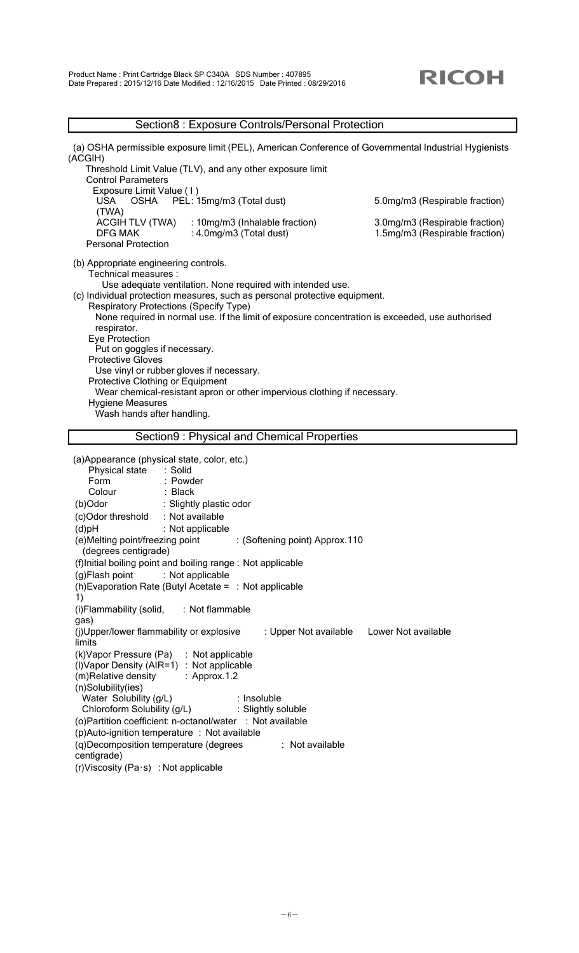### Section8 : Exposure Controls/Personal Protection

| (a) OSHA permissible exposure limit (PEL), American Conference of Governmental Industrial Hygienists<br>(ACGIH)             |                                |
|-----------------------------------------------------------------------------------------------------------------------------|--------------------------------|
| Threshold Limit Value (TLV), and any other exposure limit<br><b>Control Parameters</b>                                      |                                |
| Exposure Limit Value (1)                                                                                                    |                                |
| OSHA PEL: 15mg/m3 (Total dust)<br>USA.                                                                                      | 5.0mg/m3 (Respirable fraction) |
| (TWA)<br><b>ACGIH TLV (TWA)</b><br>: 10mg/m3 (Inhalable fraction)                                                           | 3.0mg/m3 (Respirable fraction) |
| <b>DFG MAK</b><br>: 4.0mg/m3 (Total dust)                                                                                   | 1.5mg/m3 (Respirable fraction) |
| <b>Personal Protection</b>                                                                                                  |                                |
| (b) Appropriate engineering controls.                                                                                       |                                |
| Technical measures :                                                                                                        |                                |
| Use adequate ventilation. None required with intended use.                                                                  |                                |
| (c) Individual protection measures, such as personal protective equipment.<br><b>Respiratory Protections (Specify Type)</b> |                                |
| None required in normal use. If the limit of exposure concentration is exceeded, use authorised                             |                                |
| respirator.                                                                                                                 |                                |
| Eye Protection<br>Put on goggles if necessary.                                                                              |                                |
| <b>Protective Gloves</b>                                                                                                    |                                |
| Use vinyl or rubber gloves if necessary.                                                                                    |                                |
| Protective Clothing or Equipment                                                                                            |                                |
| Wear chemical-resistant apron or other impervious clothing if necessary.<br><b>Hygiene Measures</b>                         |                                |
| Wash hands after handling.                                                                                                  |                                |
| Section9 : Physical and Chemical Properties                                                                                 |                                |
|                                                                                                                             |                                |
| (a)Appearance (physical state, color, etc.)                                                                                 |                                |
| : Solid<br>Physical state                                                                                                   |                                |
| Form<br>: Powder<br>: Black<br>Colour                                                                                       |                                |
| (b)Odor<br>: Slightly plastic odor                                                                                          |                                |
| : Not available<br>(c)Odor threshold                                                                                        |                                |
| (d)pH<br>: Not applicable                                                                                                   |                                |
| (e) Melting point/freezing point<br>: (Softening point) Approx.110<br>(degrees centigrade)                                  |                                |
| (f)Initial boiling point and boiling range : Not applicable                                                                 |                                |
| (g)Flash point<br>: Not applicable                                                                                          |                                |
| (h) Evaporation Rate (Butyl Acetate = $\therefore$ Not applicable<br>1)                                                     |                                |
| (i)Flammability (solid,<br>: Not flammable<br>gas)                                                                          |                                |
| (j)Upper/lower flammability or explosive<br>: Upper Not available<br>limits                                                 | Lower Not available            |
| (k) Vapor Pressure (Pa)<br>: Not applicable                                                                                 |                                |
| (I) Vapor Density (AIR=1) : Not applicable                                                                                  |                                |
| (m)Relative density<br>: $Approx.1.2$<br>(n)Solubility(ies)                                                                 |                                |
| Water Solubility (g/L)<br>: Insoluble                                                                                       |                                |
| Chloroform Solubility (g/L)<br>: Slightly soluble                                                                           |                                |
| (o) Partition coefficient: n-octanol/water : Not available                                                                  |                                |
| (p)Auto-ignition temperature : Not available                                                                                |                                |
| (q)Decomposition temperature (degrees<br>: Not available                                                                    |                                |
| centigrade)<br>(r)Viscosity (Pa·s) : Not applicable                                                                         |                                |
|                                                                                                                             |                                |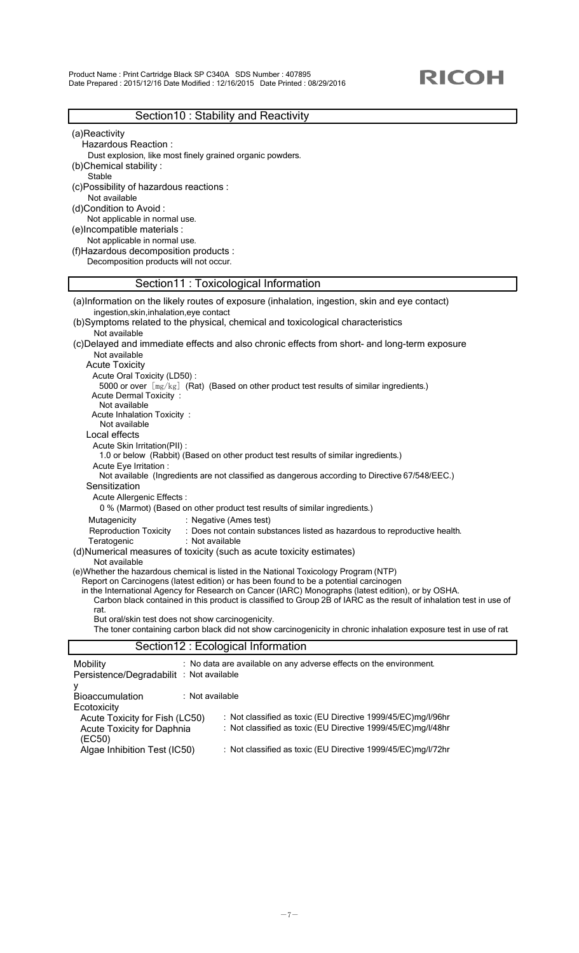Product Name : Print Cartridge Black SP C340A SDS Number : 407895 Date Prepared : 2015/12/16 Date Modified : 12/16/2015 Date Printed : 08/29/2016

### Section10 : Stability and Reactivity

(a)Reactivity

Hazardous Reaction :

- Dust explosion, like most finely grained organic powders. (b)Chemical stability :
- Stable
- (c)Possibility of hazardous reactions : Not available
- (d)Condition to Avoid :
- Not applicable in normal use.
- (e)Incompatible materials :
- Not applicable in normal use.

(f)Hazardous decomposition products :

Decomposition products will not occur.

### Section11 : Toxicological Information

| (a)Information on the likely routes of exposure (inhalation, ingestion, skin and eye contact)                                                                         |
|-----------------------------------------------------------------------------------------------------------------------------------------------------------------------|
| ingestion, skin, inhalation, eye contact<br>(b)Symptoms related to the physical, chemical and toxicological characteristics                                           |
| Not available                                                                                                                                                         |
| (c)Delayed and immediate effects and also chronic effects from short- and long-term exposure                                                                          |
| Not available                                                                                                                                                         |
| <b>Acute Toxicity</b>                                                                                                                                                 |
| Acute Oral Toxicity (LD50):                                                                                                                                           |
| 5000 or over $[mg/kg]$ (Rat) (Based on other product test results of similar ingredients.)<br><b>Acute Dermal Toxicity:</b>                                           |
| Not available                                                                                                                                                         |
| Acute Inhalation Toxicity:                                                                                                                                            |
| Not available                                                                                                                                                         |
| Local effects                                                                                                                                                         |
| Acute Skin Irritation(PII) :                                                                                                                                          |
| 1.0 or below (Rabbit) (Based on other product test results of similar ingredients.)<br>Acute Eye Irritation :                                                         |
| Not available (Ingredients are not classified as dangerous according to Directive 67/548/EEC.)                                                                        |
| Sensitization                                                                                                                                                         |
| Acute Allergenic Effects :                                                                                                                                            |
| 0 % (Marmot) (Based on other product test results of similar ingredients.)                                                                                            |
| Mutagenicity<br>: Negative (Ames test)                                                                                                                                |
| <b>Reproduction Toxicity</b><br>: Does not contain substances listed as hazardous to reproductive health.                                                             |
| Teratogenic<br>: Not available                                                                                                                                        |
| (d)Numerical measures of toxicity (such as acute toxicity estimates)                                                                                                  |
| Not available<br>(e) Whether the hazardous chemical is listed in the National Toxicology Program (NTP)                                                                |
| Report on Carcinogens (latest edition) or has been found to be a potential carcinogen                                                                                 |
| in the International Agency for Research on Cancer (IARC) Monographs (latest edition), or by OSHA.                                                                    |
| Carbon black contained in this product is classified to Group 2B of IARC as the result of inhalation test in use of                                                   |
| rat.                                                                                                                                                                  |
| But oral/skin test does not show carcinogenicity.<br>The toner containing carbon black did not show carcinogenicity in chronic inhalation exposure test in use of rat |
|                                                                                                                                                                       |
| Section12 : Ecological Information                                                                                                                                    |
| : No data are available on any adverse effects on the environment.<br>Mobility                                                                                        |
| Persistence/Degradabilit : Not available                                                                                                                              |
| у                                                                                                                                                                     |
| : Not available<br>Bioaccumulation                                                                                                                                    |
| Ecotoxicity                                                                                                                                                           |
| Acute Toxicity for Fish (LC50)<br>: Not classified as toxic (EU Directive 1999/45/EC)mg/l/96hr<br>: Not classified as toxic (EU Directive 1999/45/EC)mg/l/48hr        |
| Acute Toxicity for Daphnia<br>(EC50)                                                                                                                                  |
| Algae Inhibition Test (IC50)<br>: Not classified as toxic (EU Directive 1999/45/EC)mg/l/72hr                                                                          |
|                                                                                                                                                                       |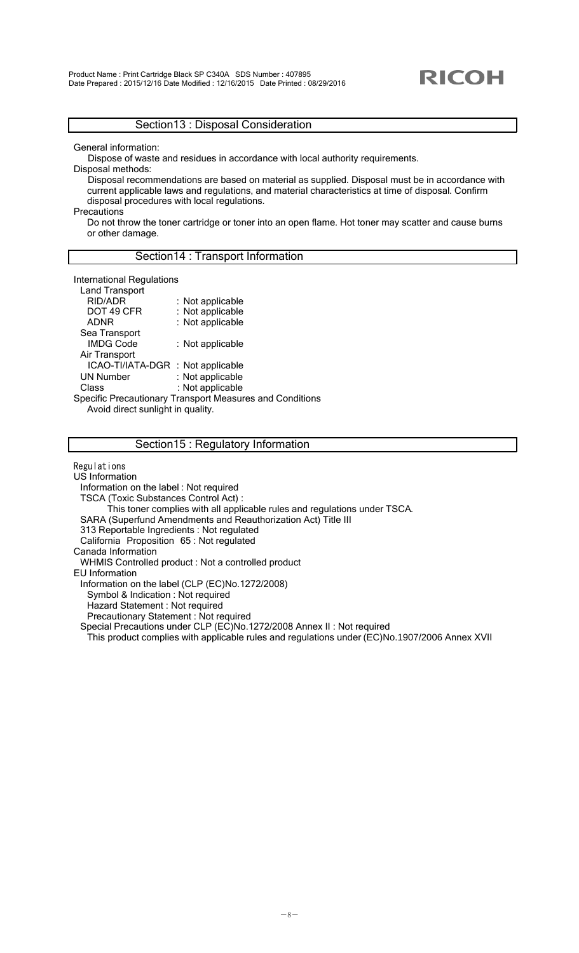### Section13 : Disposal Consideration

General information:

Dispose of waste and residues in accordance with local authority requirements.

Disposal methods:

Disposal recommendations are based on material as supplied. Disposal must be in accordance with current applicable laws and regulations, and material characteristics at time of disposal. Confirm disposal procedures with local regulations.

**Precautions** 

Do not throw the toner cartridge or toner into an open flame. Hot toner may scatter and cause burns or other damage.

### Section14 : Transport Information

International Regulations

| <b>Land Transport</b>               |                                                                 |
|-------------------------------------|-----------------------------------------------------------------|
| RID/ADR                             | : Not applicable                                                |
| DOT 49 CFR                          | : Not applicable                                                |
| ADNR                                | : Not applicable                                                |
| Sea Transport                       |                                                                 |
| <b>IMDG Code</b>                    | : Not applicable                                                |
| Air Transport                       |                                                                 |
| ICAO-TI/IATA-DGR : Not applicable   |                                                                 |
| <b>UN Number</b>                    | : Not applicable                                                |
| Class                               | : Not applicable                                                |
|                                     | <b>Specific Precautionary Transport Measures and Conditions</b> |
| Avoid diract oughtfulled in anality |                                                                 |

Avoid direct sunlight in quality.

#### Section15 : Regulatory Information

Regulations

US Information

Information on the label : Not required

TSCA (Toxic Substances Control Act) :

This toner complies with all applicable rules and regulations under TSCA.

SARA (Superfund Amendments and Reauthorization Act) Title III

313 Reportable Ingredients : Not regulated

California Proposition 65 : Not regulated

Canada Information

WHMIS Controlled product : Not a controlled product

EU Information

Information on the label (CLP (EC)No.1272/2008)

Symbol & Indication : Not required

Hazard Statement : Not required

Precautionary Statement : Not required

Special Precautions under CLP (EC)No.1272/2008 Annex II : Not required

This product complies with applicable rules and regulations under (EC)No.1907/2006 Annex XVII